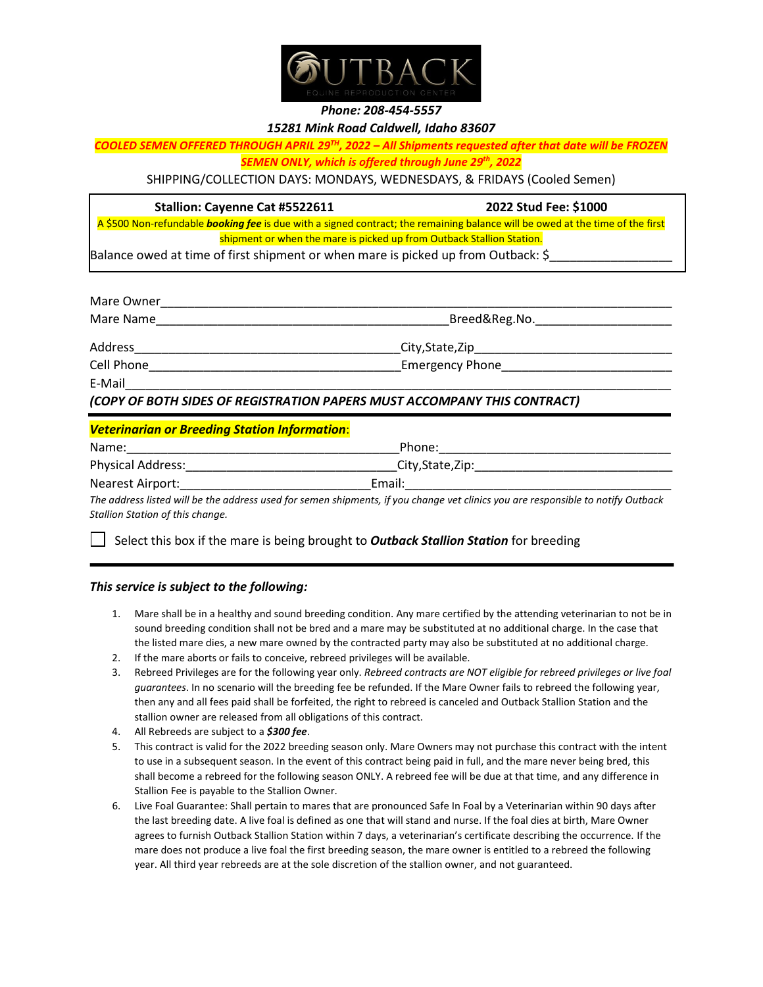

## *Phone: 208-454-5557*

## *15281 Mink Road Caldwell, Idaho 83607*

*COOLED SEMEN OFFERED THROUGH APRIL 29TH, 2022 – All Shipments requested after that date will be FROZEN* 

*SEMEN ONLY, which is offered through June 29th, 2022*

SHIPPING/COLLECTION DAYS: MONDAYS, WEDNESDAYS, & FRIDAYS (Cooled Semen)

## **Stallion: Cayenne Cat #5522611 2022 Stud Fee: \$1000**

A \$500 Non-refundable *booking fee* is due with a signed contract; the remaining balance will be owed at the time of the first shipment or when the mare is picked up from Outback Stallion Station.

Balance owed at time of first shipment or when mare is picked up from Outback: \$

| Mare Owner |                                                                          |  |  |
|------------|--------------------------------------------------------------------------|--|--|
| Mare Name  | Breed&Reg.No.                                                            |  |  |
| Address    | City, State, Zip                                                         |  |  |
| Cell Phone | Emergency Phone                                                          |  |  |
| E-Mail     |                                                                          |  |  |
|            | (COPY OF BOTH SIDES OF REGISTRATION PAPERS MUST ACCOMPANY THIS CONTRACT) |  |  |

# *Veterinarian or Breeding Station Information*:

| Name:                    | Phone:            |  |
|--------------------------|-------------------|--|
| <b>Physical Address:</b> | City, State, Zip: |  |
| Nearest Airport:         | Email:            |  |

*The address listed will be the address used for semen shipments, if you change vet clinics you are responsible to notify Outback Stallion Station of this change.*

Select this box if the mare is being brought to *Outback Stallion Station* for breeding

# *This service is subject to the following:*

- 1. Mare shall be in a healthy and sound breeding condition. Any mare certified by the attending veterinarian to not be in sound breeding condition shall not be bred and a mare may be substituted at no additional charge. In the case that the listed mare dies, a new mare owned by the contracted party may also be substituted at no additional charge.
- 2. If the mare aborts or fails to conceive, rebreed privileges will be available.
- 3. Rebreed Privileges are for the following year only. *Rebreed contracts are NOT eligible for rebreed privileges or live foal guarantees*. In no scenario will the breeding fee be refunded. If the Mare Owner fails to rebreed the following year, then any and all fees paid shall be forfeited, the right to rebreed is canceled and Outback Stallion Station and the stallion owner are released from all obligations of this contract.
- 4. All Rebreeds are subject to a *\$300 fee*.
- 5. This contract is valid for the 2022 breeding season only. Mare Owners may not purchase this contract with the intent to use in a subsequent season. In the event of this contract being paid in full, and the mare never being bred, this shall become a rebreed for the following season ONLY. A rebreed fee will be due at that time, and any difference in Stallion Fee is payable to the Stallion Owner.
- 6. Live Foal Guarantee: Shall pertain to mares that are pronounced Safe In Foal by a Veterinarian within 90 days after the last breeding date. A live foal is defined as one that will stand and nurse. If the foal dies at birth, Mare Owner agrees to furnish Outback Stallion Station within 7 days, a veterinarian's certificate describing the occurrence. If the mare does not produce a live foal the first breeding season, the mare owner is entitled to a rebreed the following year. All third year rebreeds are at the sole discretion of the stallion owner, and not guaranteed.